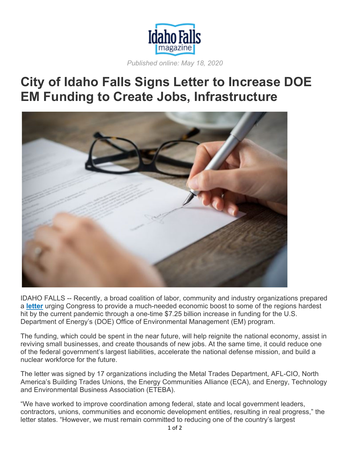

*Published online: May 18, 2020*

## **City of Idaho Falls Signs Letter to Increase DOE EM Funding to Create Jobs, Infrastructure**



IDAHO FALLS -- Recently, a broad coalition of labor, community and industry organizations prepared a **letter** urging Congress to provide a much-needed economic boost to some of the regions hardest hit by the current pandemic through a one-time \$7.25 billion increase in funding for the U.S. Department of Energy's (DOE) Office of Environmental Management (EM) program.

The funding, which could be spent in the near future, will help reignite the national economy, assist in reviving small businesses, and create thousands of new jobs. At the same time, it could reduce one of the federal government's largest liabilities, accelerate the national defense mission, and build a nuclear workforce for the future.

The letter was signed by 17 organizations including the Metal Trades Department, AFL-CIO, North America's Building Trades Unions, the Energy Communities Alliance (ECA), and Energy, Technology and Environmental Business Association (ETEBA).

"We have worked to improve coordination among federal, state and local government leaders, contractors, unions, communities and economic development entities, resulting in real progress," the letter states. "However, we must remain committed to reducing one of the country's largest